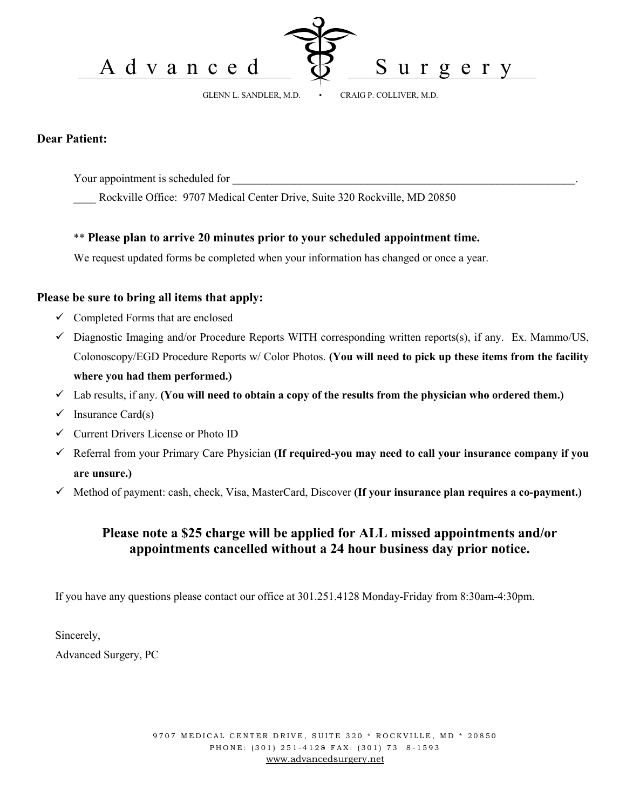



GLENN L. SANDLER, M.D. • CRAIG P. COLLIVER, M.D.

#### **Dear Patient:**

Your appointment is scheduled for

Rockville Office: 9707 Medical Center Drive, Suite 320 Rockville, MD 20850

#### \*\* **Please plan to arrive 20 minutes prior to your scheduled appointment time.**

We request updated forms be completed when your information has changed or once a year.

### **Please be sure to bring all items that apply:**

- $\checkmark$  Completed Forms that are enclosed
- $\checkmark$  Diagnostic Imaging and/or Procedure Reports WITH corresponding written reports(s), if any. Ex. Mammo/US, Colonoscopy/EGD Procedure Reports w/ Color Photos. **(You will need to pick up these items from the facility where you had them performed.)**
- $\checkmark$  Lab results, if any. **(You will need to obtain a copy of the results from the physician who ordered them.)**
- $\checkmark$  Insurance Card(s)
- $\checkmark$  Current Drivers License or Photo ID
- 9 Referral from your Primary Care Physician **(If required-you may need to call your insurance company if you are unsure.)**
- 9 Method of payment: cash, check, Visa, MasterCard, Discover **(If your insurance plan requires a co-payment.)**

## **Please note a \$25 charge will be applied for ALL missed appointments and/or appointments cancelled without a 24 hour business day prior notice.**

If you have any questions please contact our office at 301.251.4128 Monday-Friday from 8:30am-4:30pm.

Sincerely, Advanced Surgery, PC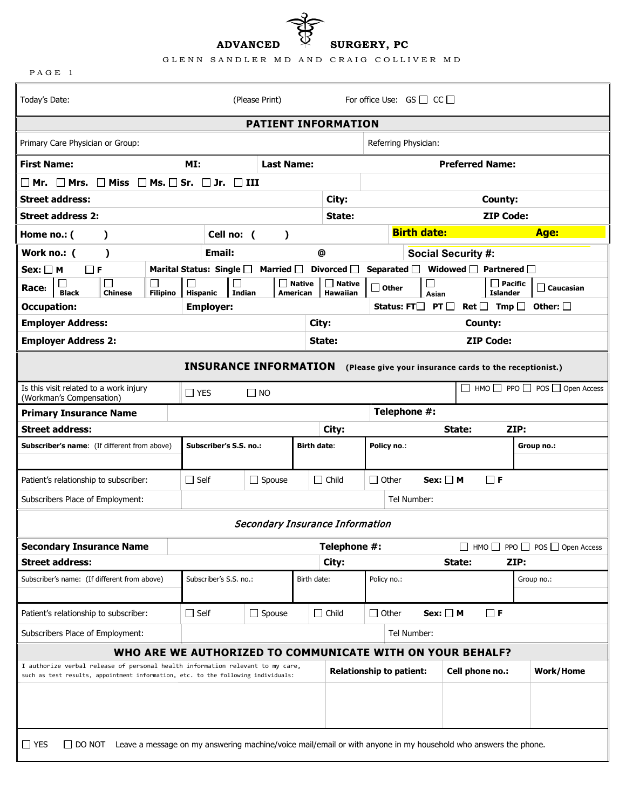**ADVANCED SURGERY, PC**

|  |  | GLENN SANDLER MD AND CRAIG COLLIVER MD |  |
|--|--|----------------------------------------|--|
|  |  |                                        |  |

ಕ್ಕೆ

| PAGE 1                                                                                                                                                              |                                                                                                                |                   |                           |                                 |                                           |                                   |                           |                                               |                                                         |
|---------------------------------------------------------------------------------------------------------------------------------------------------------------------|----------------------------------------------------------------------------------------------------------------|-------------------|---------------------------|---------------------------------|-------------------------------------------|-----------------------------------|---------------------------|-----------------------------------------------|---------------------------------------------------------|
| Today's Date:                                                                                                                                                       |                                                                                                                | (Please Print)    |                           |                                 |                                           | For office Use: $GS \Box CC \Box$ |                           |                                               |                                                         |
| <b>PATIENT INFORMATION</b>                                                                                                                                          |                                                                                                                |                   |                           |                                 |                                           |                                   |                           |                                               |                                                         |
| Primary Care Physician or Group:                                                                                                                                    |                                                                                                                |                   |                           |                                 |                                           | Referring Physician:              |                           |                                               |                                                         |
| <b>First Name:</b>                                                                                                                                                  | MI:                                                                                                            | <b>Last Name:</b> |                           |                                 |                                           |                                   |                           | <b>Preferred Name:</b>                        |                                                         |
| $\square$ Mr. $\square$ Mrs. $\square$ Miss $\square$ Ms. $\square$ Sr. $\square$ Jr. $\square$ III                                                                 |                                                                                                                |                   |                           |                                 |                                           |                                   |                           |                                               |                                                         |
| <b>Street address:</b>                                                                                                                                              |                                                                                                                |                   |                           | City:                           |                                           |                                   |                           | County:                                       |                                                         |
| <b>Street address 2:</b>                                                                                                                                            |                                                                                                                |                   |                           | State:                          |                                           |                                   |                           | <b>ZIP Code:</b>                              |                                                         |
| Home no.: (<br>$\lambda$                                                                                                                                            | Cell no: (                                                                                                     | $\lambda$         |                           |                                 |                                           | <b>Birth date:</b>                |                           |                                               | Age:                                                    |
| Work no.: (<br>$\mathcal Y$                                                                                                                                         | Email:                                                                                                         |                   |                           | @                               |                                           |                                   | <b>Social Security #:</b> |                                               |                                                         |
| $Sex: \Box M$<br>$\Box$ F                                                                                                                                           | Marital Status: Single $\square$                                                                               | Married $\Box$    |                           | Divorced $\Box$                 | Separated $\square$                       |                                   |                           | Widowed $\Box$ Partnered $\Box$               |                                                         |
| $\overline{\phantom{0}}$<br>Race:<br><b>Black</b><br><b>Filipino</b><br><b>Chinese</b>                                                                              | $\Box$<br><b>Hispanic</b><br>Indian                                                                            |                   | $\Box$ Native<br>American | $\Box$ Native<br>Hawaiian       | $\Box$ Other                              | Asian                             |                           | $\Box$ Pacific<br><b>Islander</b>             | $\Box$ Caucasian                                        |
| <b>Occupation:</b>                                                                                                                                                  | <b>Employer:</b>                                                                                               |                   |                           |                                 | Status: FTL L                             |                                   | PT $\Box$                 | $\mathsf{Ret} \ \Box \ \ \mathsf{Imp} \ \Box$ | Other: $\Box$                                           |
| <b>Employer Address:</b>                                                                                                                                            |                                                                                                                |                   |                           | City:                           | County:                                   |                                   |                           |                                               |                                                         |
| <b>Employer Address 2:</b>                                                                                                                                          |                                                                                                                |                   |                           | State:                          | <b>ZIP Code:</b>                          |                                   |                           |                                               |                                                         |
|                                                                                                                                                                     | <b>INSURANCE INFORMATION</b>                                                                                   |                   |                           |                                 |                                           |                                   |                           |                                               | (Please give your insurance cards to the receptionist.) |
| Is this visit related to a work injury<br>(Workman's Compensation)                                                                                                  | $\Box$ YES                                                                                                     | $\Box$ NO         |                           |                                 |                                           |                                   |                           |                                               | $\Box$ HMO $\Box$ PPO $\Box$ POS $\Box$ Open Access     |
| <b>Primary Insurance Name</b>                                                                                                                                       |                                                                                                                |                   |                           |                                 |                                           | Telephone #:                      |                           |                                               |                                                         |
| <b>Street address:</b>                                                                                                                                              |                                                                                                                |                   |                           | City:                           |                                           |                                   | State:                    |                                               | ZIP:                                                    |
| Subscriber's name: (If different from above)                                                                                                                        | Subscriber's S.S. no.:                                                                                         |                   | <b>Birth date:</b>        |                                 | Policy no.:                               |                                   |                           |                                               | Group no.:                                              |
|                                                                                                                                                                     |                                                                                                                |                   |                           |                                 |                                           |                                   |                           |                                               |                                                         |
| Patient's relationship to subscriber:                                                                                                                               | $\Box$ Self                                                                                                    | $\Box$ Spouse     |                           | $\Box$ Child                    | $Sex: \Box M$<br>$\Box$ F<br>$\Box$ Other |                                   |                           |                                               |                                                         |
| Subscribers Place of Employment:                                                                                                                                    |                                                                                                                |                   |                           |                                 |                                           | Tel Number:                       |                           |                                               |                                                         |
| Secondary Insurance Information                                                                                                                                     |                                                                                                                |                   |                           |                                 |                                           |                                   |                           |                                               |                                                         |
| <b>Secondary Insurance Name</b>                                                                                                                                     |                                                                                                                |                   |                           | Telephone #:                    |                                           |                                   |                           |                                               | $\Box$ HMO $\Box$ PPO $\Box$ POS $\Box$ Open Access     |
| <b>Street address:</b>                                                                                                                                              |                                                                                                                |                   |                           | City:                           |                                           |                                   | State:                    |                                               | ZIP:                                                    |
| Subscriber's name: (If different from above)                                                                                                                        | Subscriber's S.S. no.:                                                                                         |                   | Birth date:               |                                 | Policy no.:                               |                                   |                           |                                               | Group no.:                                              |
| Patient's relationship to subscriber:                                                                                                                               | $\Box$ Self                                                                                                    | $\Box$ Spouse     |                           | $\Box$ Child                    | $\Box$ Other                              |                                   | $Sex: \Box M$             | $\Box$ F                                      |                                                         |
| Subscribers Place of Employment:                                                                                                                                    |                                                                                                                |                   |                           |                                 |                                           | Tel Number:                       |                           |                                               |                                                         |
| WHO ARE WE AUTHORIZED TO COMMUNICATE WITH ON YOUR BEHALF?                                                                                                           |                                                                                                                |                   |                           |                                 |                                           |                                   |                           |                                               |                                                         |
| I authorize verbal release of personal health information relevant to my care,<br>such as test results, appointment information, etc. to the following individuals: |                                                                                                                |                   |                           | <b>Relationship to patient:</b> |                                           |                                   |                           | Cell phone no.:                               | <b>Work/Home</b>                                        |
|                                                                                                                                                                     |                                                                                                                |                   |                           |                                 |                                           |                                   |                           |                                               |                                                         |
| $\Box$ YES<br>$\Box$ DO NOT                                                                                                                                         | Leave a message on my answering machine/voice mail/email or with anyone in my household who answers the phone. |                   |                           |                                 |                                           |                                   |                           |                                               |                                                         |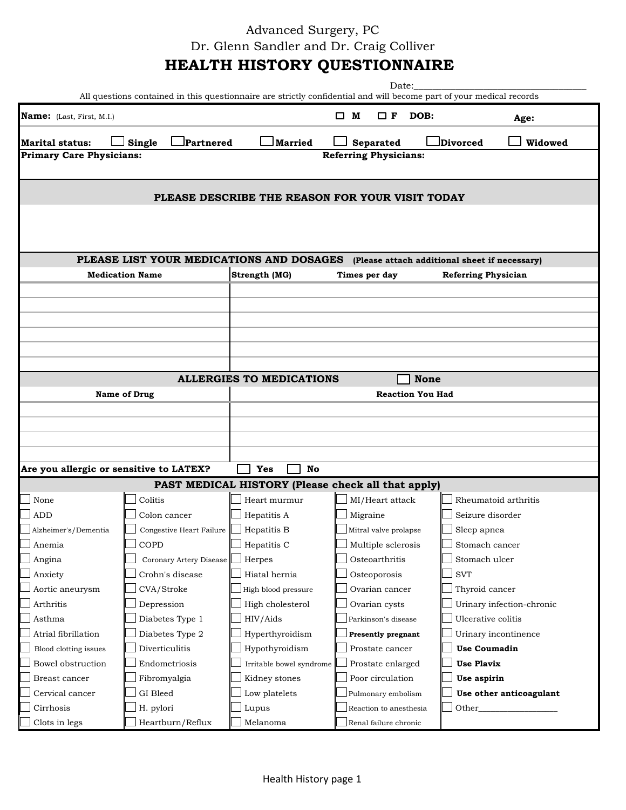Advanced Surgery, PC Dr. Glenn Sandler and Dr. Craig Colliver

# **HEALTH HISTORY QUESTIONNAIRE**

|                                         | All questions contained in this questionnaire are strictly confidential and will become part of your medical records |                                                    | Date:                        |                                                                                        |  |  |  |
|-----------------------------------------|----------------------------------------------------------------------------------------------------------------------|----------------------------------------------------|------------------------------|----------------------------------------------------------------------------------------|--|--|--|
| Name: (Last, First, M.I.)               |                                                                                                                      |                                                    | $\Box$ M<br>$\Box$ F DOB:    | Age:                                                                                   |  |  |  |
|                                         |                                                                                                                      |                                                    |                              |                                                                                        |  |  |  |
| <b>Marital status:</b>                  | <b>Partnered</b><br>Single                                                                                           | Married                                            | Separated                    | Divorced<br>Widowed                                                                    |  |  |  |
| <b>Primary Care Physicians:</b>         |                                                                                                                      |                                                    | <b>Referring Physicians:</b> |                                                                                        |  |  |  |
|                                         |                                                                                                                      |                                                    |                              |                                                                                        |  |  |  |
|                                         |                                                                                                                      | PLEASE DESCRIBE THE REASON FOR YOUR VISIT TODAY    |                              |                                                                                        |  |  |  |
|                                         |                                                                                                                      |                                                    |                              |                                                                                        |  |  |  |
|                                         |                                                                                                                      |                                                    |                              |                                                                                        |  |  |  |
|                                         |                                                                                                                      |                                                    |                              |                                                                                        |  |  |  |
|                                         |                                                                                                                      |                                                    |                              |                                                                                        |  |  |  |
|                                         |                                                                                                                      |                                                    |                              | PLEASE LIST YOUR MEDICATIONS AND DOSAGES (Please attach additional sheet if necessary) |  |  |  |
|                                         | <b>Medication Name</b>                                                                                               | Strength (MG)                                      | Times per day                | <b>Referring Physician</b>                                                             |  |  |  |
|                                         |                                                                                                                      |                                                    |                              |                                                                                        |  |  |  |
|                                         |                                                                                                                      |                                                    |                              |                                                                                        |  |  |  |
|                                         |                                                                                                                      |                                                    |                              |                                                                                        |  |  |  |
|                                         |                                                                                                                      |                                                    |                              |                                                                                        |  |  |  |
|                                         |                                                                                                                      |                                                    |                              |                                                                                        |  |  |  |
|                                         |                                                                                                                      |                                                    |                              |                                                                                        |  |  |  |
|                                         |                                                                                                                      | <b>ALLERGIES TO MEDICATIONS</b>                    | <b>None</b>                  |                                                                                        |  |  |  |
|                                         |                                                                                                                      |                                                    |                              |                                                                                        |  |  |  |
|                                         | <b>Name of Drug</b>                                                                                                  | <b>Reaction You Had</b>                            |                              |                                                                                        |  |  |  |
|                                         |                                                                                                                      |                                                    |                              |                                                                                        |  |  |  |
|                                         |                                                                                                                      |                                                    |                              |                                                                                        |  |  |  |
|                                         |                                                                                                                      |                                                    |                              |                                                                                        |  |  |  |
|                                         |                                                                                                                      |                                                    |                              |                                                                                        |  |  |  |
| Are you allergic or sensitive to LATEX? |                                                                                                                      | No<br>Yes                                          |                              |                                                                                        |  |  |  |
|                                         |                                                                                                                      | PAST MEDICAL HISTORY (Please check all that apply) |                              |                                                                                        |  |  |  |
| None                                    | Colitis                                                                                                              | Heart murmur                                       | MI/Heart attack              | Rheumatoid arthritis                                                                   |  |  |  |
| <b>ADD</b>                              | Colon cancer                                                                                                         | Hepatitis A                                        | Migraine                     | Seizure disorder                                                                       |  |  |  |
| Alzheimer's/Dementia                    | Congestive Heart Failure                                                                                             | Hepatitis B                                        | Mitral valve prolapse        | Sleep apnea                                                                            |  |  |  |
| Anemia                                  | COPD                                                                                                                 | Hepatitis C                                        | Multiple sclerosis           | Stomach cancer                                                                         |  |  |  |
| Angina                                  | Coronary Artery Disease                                                                                              | Herpes                                             | Osteoarthritis               | Stomach ulcer                                                                          |  |  |  |
| Anxiety                                 | Crohn's disease                                                                                                      | Hiatal hernia                                      | Osteoporosis                 | <b>SVT</b>                                                                             |  |  |  |
| Aortic aneurysm                         | CVA/Stroke                                                                                                           | High blood pressure                                | Ovarian cancer               | Thyroid cancer                                                                         |  |  |  |
| Arthritis                               | Depression                                                                                                           | High cholesterol                                   | Ovarian cysts                | Urinary infection-chronic                                                              |  |  |  |
| Asthma                                  | Diabetes Type 1                                                                                                      | HIV/Aids                                           | Parkinson's disease          | Ulcerative colitis                                                                     |  |  |  |
| Atrial fibrillation                     | Diabetes Type 2                                                                                                      | Hyperthyroidism                                    | Presently pregnant           | Urinary incontinence                                                                   |  |  |  |
| Blood clotting issues                   | Diverticulitis                                                                                                       | Hypothyroidism                                     | Prostate cancer              | <b>Use Coumadin</b>                                                                    |  |  |  |
| Bowel obstruction                       | Endometriosis                                                                                                        |                                                    | Prostate enlarged            | <b>Use Plavix</b>                                                                      |  |  |  |
|                                         |                                                                                                                      | Irritable bowel syndrome                           |                              |                                                                                        |  |  |  |
| Breast cancer                           | Fibromyalgia                                                                                                         | Kidney stones                                      | Poor circulation             | Use aspirin                                                                            |  |  |  |
| Cervical cancer                         | GI Bleed                                                                                                             | Low platelets                                      | Pulmonary embolism           | Use other anticoagulant                                                                |  |  |  |
| Cirrhosis                               | H. pylori                                                                                                            | Lupus                                              | Reaction to anesthesia       | Other_                                                                                 |  |  |  |
| Clots in legs                           | Heartburn/Reflux                                                                                                     | Melanoma                                           | Renal failure chronic        |                                                                                        |  |  |  |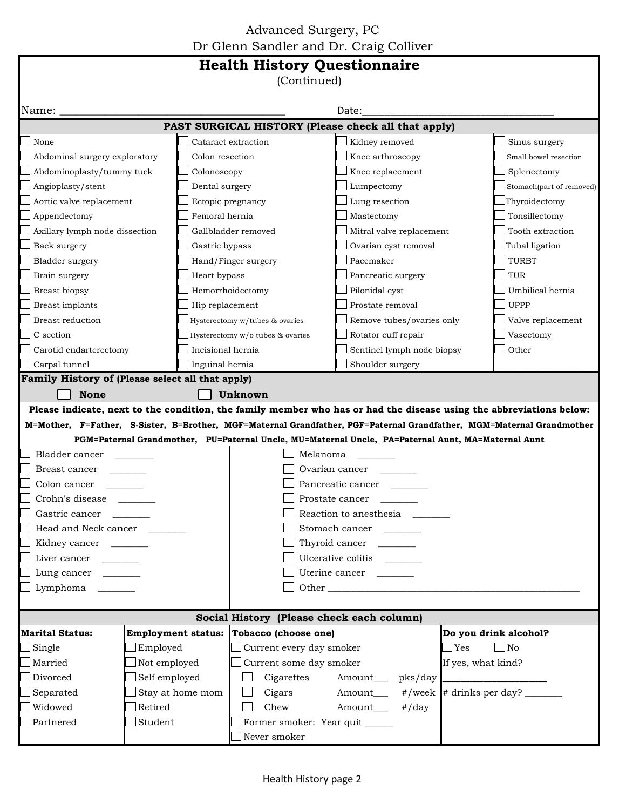Advanced Surgery, PC Dr Glenn Sandler and Dr. Craig Colliver

| Dr Gienn Sandier and Dr. Craig Comver<br><b>Health History Questionnaire</b>                                                                                                                                                                 |                                                                                                                            |                                  |                                                                                                    |                                    |  |  |  |
|----------------------------------------------------------------------------------------------------------------------------------------------------------------------------------------------------------------------------------------------|----------------------------------------------------------------------------------------------------------------------------|----------------------------------|----------------------------------------------------------------------------------------------------|------------------------------------|--|--|--|
| (Continued)                                                                                                                                                                                                                                  |                                                                                                                            |                                  |                                                                                                    |                                    |  |  |  |
| Name:                                                                                                                                                                                                                                        |                                                                                                                            |                                  | Date:                                                                                              |                                    |  |  |  |
| PAST SURGICAL HISTORY (Please check all that apply)                                                                                                                                                                                          |                                                                                                                            |                                  |                                                                                                    |                                    |  |  |  |
| None                                                                                                                                                                                                                                         |                                                                                                                            | Cataract extraction              | Kidney removed                                                                                     | Sinus surgery                      |  |  |  |
| Abdominal surgery exploratory                                                                                                                                                                                                                | Colon resection                                                                                                            |                                  | Knee arthroscopy                                                                                   | Small bowel resection              |  |  |  |
| Abdominoplasty/tummy tuck                                                                                                                                                                                                                    | Colonoscopy                                                                                                                |                                  | Knee replacement                                                                                   | Splenectomy                        |  |  |  |
| Angioplasty/stent                                                                                                                                                                                                                            | Dental surgery                                                                                                             |                                  | Lumpectomy                                                                                         | Stomach(part of removed)           |  |  |  |
| Aortic valve replacement                                                                                                                                                                                                                     |                                                                                                                            | Ectopic pregnancy                | Lung resection                                                                                     | Thyroidectomy                      |  |  |  |
| Appendectomy                                                                                                                                                                                                                                 | Femoral hernia                                                                                                             |                                  | Mastectomy                                                                                         | Tonsillectomy                      |  |  |  |
| Axillary lymph node dissection                                                                                                                                                                                                               |                                                                                                                            | Gallbladder removed              | Mitral valve replacement                                                                           | Tooth extraction                   |  |  |  |
| Back surgery                                                                                                                                                                                                                                 | Gastric bypass                                                                                                             |                                  | Ovarian cyst removal                                                                               | Tubal ligation                     |  |  |  |
| Bladder surgery                                                                                                                                                                                                                              |                                                                                                                            | Hand/Finger surgery              | Pacemaker                                                                                          | <b>TURBT</b>                       |  |  |  |
| Brain surgery                                                                                                                                                                                                                                | Heart bypass                                                                                                               |                                  | Pancreatic surgery                                                                                 | <b>TUR</b>                         |  |  |  |
| Breast biopsy                                                                                                                                                                                                                                |                                                                                                                            | Hemorrhoidectomy                 | Pilonidal cyst                                                                                     | Umbilical hernia                   |  |  |  |
| Breast implants                                                                                                                                                                                                                              | Hip replacement                                                                                                            |                                  | Prostate removal                                                                                   | <b>UPPP</b>                        |  |  |  |
| Breast reduction                                                                                                                                                                                                                             |                                                                                                                            | Hysterectomy w/tubes & ovaries   | Remove tubes/ovaries only                                                                          | Valve replacement                  |  |  |  |
| C section                                                                                                                                                                                                                                    |                                                                                                                            | Hysterectomy w/o tubes & ovaries | Rotator cuff repair                                                                                | Vasectomy                          |  |  |  |
| Carotid endarterectomy                                                                                                                                                                                                                       | Incisional hernia                                                                                                          |                                  | Sentinel lymph node biopsy                                                                         | Other                              |  |  |  |
|                                                                                                                                                                                                                                              |                                                                                                                            |                                  |                                                                                                    |                                    |  |  |  |
| Carpal tunnel<br>Inguinal hernia<br>Shoulder surgery                                                                                                                                                                                         |                                                                                                                            |                                  |                                                                                                    |                                    |  |  |  |
| Family History of (Please select all that apply)                                                                                                                                                                                             |                                                                                                                            |                                  |                                                                                                    |                                    |  |  |  |
| <b>None</b><br>Unknown                                                                                                                                                                                                                       |                                                                                                                            |                                  |                                                                                                    |                                    |  |  |  |
| Please indicate, next to the condition, the family member who has or had the disease using the abbreviations below:<br>M=Mother, F=Father, S-Sister, B=Brother, MGF=Maternal Grandfather, PGF=Paternal Grandfather, MGM=Maternal Grandmother |                                                                                                                            |                                  |                                                                                                    |                                    |  |  |  |
|                                                                                                                                                                                                                                              |                                                                                                                            |                                  |                                                                                                    |                                    |  |  |  |
|                                                                                                                                                                                                                                              |                                                                                                                            | Melanoma                         | PGM=Paternal Grandmother, PU=Paternal Uncle, MU=Maternal Uncle, PA=Paternal Aunt, MA=Maternal Aunt |                                    |  |  |  |
| Bladder cancer                                                                                                                                                                                                                               |                                                                                                                            |                                  | Ovarian cancer __                                                                                  |                                    |  |  |  |
| Breast cancer                                                                                                                                                                                                                                |                                                                                                                            |                                  | Pancreatic cancer                                                                                  |                                    |  |  |  |
| Colon cancer                                                                                                                                                                                                                                 |                                                                                                                            |                                  |                                                                                                    |                                    |  |  |  |
| Crohn's disease                                                                                                                                                                                                                              |                                                                                                                            |                                  | Prostate cancer                                                                                    |                                    |  |  |  |
| Gastric cancer                                                                                                                                                                                                                               | $\mathcal{L}^{\mathcal{L}}(\mathcal{L}^{\mathcal{L}})$ . The set of $\mathcal{L}^{\mathcal{L}}(\mathcal{L}^{\mathcal{L}})$ |                                  | Reaction to anesthesia                                                                             |                                    |  |  |  |
| Head and Neck cancer                                                                                                                                                                                                                         |                                                                                                                            |                                  | Stomach cancer                                                                                     |                                    |  |  |  |
| Kidney cancer                                                                                                                                                                                                                                |                                                                                                                            | Thyroid cancer                   |                                                                                                    |                                    |  |  |  |
| Liver cancer                                                                                                                                                                                                                                 |                                                                                                                            | Ulcerative colitis ________      |                                                                                                    |                                    |  |  |  |
| Lung cancer                                                                                                                                                                                                                                  |                                                                                                                            | Uterine cancer                   |                                                                                                    |                                    |  |  |  |
| Lymphoma                                                                                                                                                                                                                                     |                                                                                                                            | Other                            |                                                                                                    |                                    |  |  |  |
|                                                                                                                                                                                                                                              |                                                                                                                            |                                  |                                                                                                    |                                    |  |  |  |
| Social History (Please check each column)<br>Employment status: Tobacco (choose one)                                                                                                                                                         |                                                                                                                            |                                  |                                                                                                    |                                    |  |  |  |
| <b>Marital Status:</b>                                                                                                                                                                                                                       |                                                                                                                            |                                  |                                                                                                    | Do you drink alcohol?              |  |  |  |
| Single                                                                                                                                                                                                                                       | Employed                                                                                                                   | Current every day smoker         |                                                                                                    | $\exists$ Yes<br>$\blacksquare$ No |  |  |  |
| Married                                                                                                                                                                                                                                      | Not employed                                                                                                               | Current some day smoker          |                                                                                                    | If yes, what kind?                 |  |  |  |
| Divorced                                                                                                                                                                                                                                     | Self employed                                                                                                              | Cigarettes                       | Amount___<br>pks/day                                                                               |                                    |  |  |  |
| Separated                                                                                                                                                                                                                                    | Stay at home mom                                                                                                           | Cigars                           | $#$ /week<br>Amount___                                                                             |                                    |  |  |  |
| Widowed                                                                                                                                                                                                                                      | Retired                                                                                                                    | Chew                             | Amount___<br>$\#/day$                                                                              |                                    |  |  |  |
| Partnered                                                                                                                                                                                                                                    | Student                                                                                                                    | Former smoker: Year quit _____   |                                                                                                    |                                    |  |  |  |
|                                                                                                                                                                                                                                              |                                                                                                                            | Never smoker                     |                                                                                                    |                                    |  |  |  |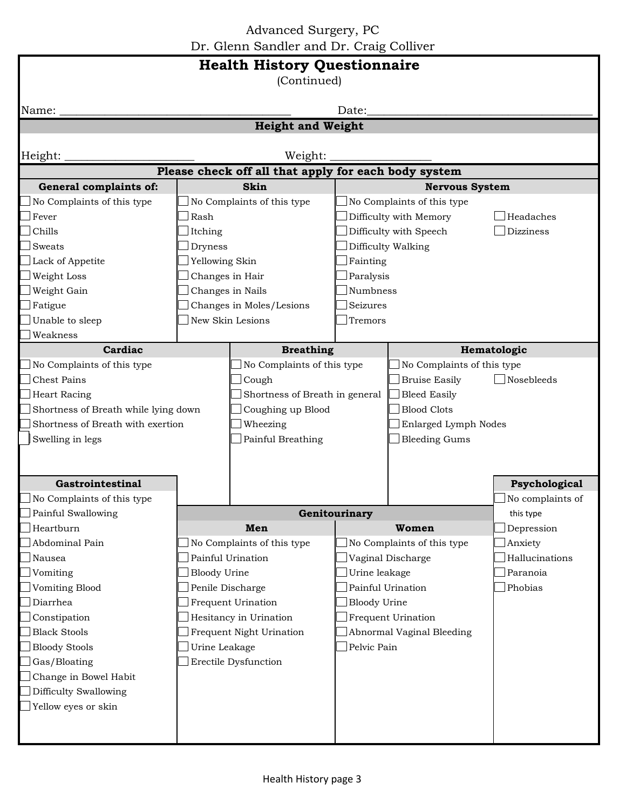Advanced Surgery, PC Dr. Glenn Sandler and Dr. Craig Colliver

| <b>Health History Questionnaire</b><br>(Continued)   |                          |                                |                     |                            |                  |  |  |
|------------------------------------------------------|--------------------------|--------------------------------|---------------------|----------------------------|------------------|--|--|
| Date:<br>Name:                                       |                          |                                |                     |                            |                  |  |  |
| <b>Height and Weight</b>                             |                          |                                |                     |                            |                  |  |  |
|                                                      |                          |                                |                     |                            |                  |  |  |
| Height:<br>Weight:                                   |                          |                                |                     |                            |                  |  |  |
| Please check off all that apply for each body system |                          |                                |                     |                            |                  |  |  |
| General complaints of:                               | <b>Skin</b>              |                                |                     | <b>Nervous System</b>      |                  |  |  |
| No Complaints of this type                           |                          | No Complaints of this type     |                     | No Complaints of this type |                  |  |  |
| Fever                                                | Rash                     |                                |                     | Difficulty with Memory     | Headaches        |  |  |
| Chills                                               | Itching                  |                                |                     | Difficulty with Speech     | <b>Dizziness</b> |  |  |
| Sweats                                               | Dryness                  |                                |                     | Difficulty Walking         |                  |  |  |
| Lack of Appetite                                     | Yellowing Skin           |                                | Fainting            |                            |                  |  |  |
| Weight Loss                                          | Changes in Hair          |                                | Paralysis           |                            |                  |  |  |
| Weight Gain                                          |                          | Changes in Nails               | Numbness            |                            |                  |  |  |
| Fatigue                                              |                          | Changes in Moles/Lesions       | Seizures            |                            |                  |  |  |
| Unable to sleep                                      |                          | New Skin Lesions<br>Tremors    |                     |                            |                  |  |  |
| Weakness                                             |                          |                                |                     |                            |                  |  |  |
| Cardiac                                              |                          | <b>Breathing</b>               |                     |                            | Hematologic      |  |  |
| No Complaints of this type                           |                          | No Complaints of this type     |                     | No Complaints of this type |                  |  |  |
| <b>Chest Pains</b>                                   |                          | Cough                          |                     | <b>Bruise Easily</b>       | Nosebleeds       |  |  |
| <b>Heart Racing</b>                                  |                          | Shortness of Breath in general |                     | <b>Bleed Easily</b>        |                  |  |  |
| Shortness of Breath while lying down                 |                          | Coughing up Blood              |                     | <b>Blood Clots</b>         |                  |  |  |
| Shortness of Breath with exertion                    | Wheezing                 |                                |                     | Enlarged Lymph Nodes       |                  |  |  |
| Swelling in legs                                     | Painful Breathing        |                                |                     | <b>Bleeding Gums</b>       |                  |  |  |
|                                                      |                          |                                |                     |                            |                  |  |  |
|                                                      |                          |                                |                     |                            |                  |  |  |
| Gastrointestinal                                     |                          |                                |                     |                            | Psychological    |  |  |
| No Complaints of this type                           |                          |                                |                     |                            | No complaints of |  |  |
| Painful Swallowing                                   | Genitourinary            |                                |                     |                            | this type        |  |  |
| Heartburn                                            |                          | Men                            |                     | Women                      | Depression       |  |  |
| Abdominal Pain                                       |                          | No Complaints of this type     |                     | No Complaints of this type | Anxiety          |  |  |
| Nausea                                               |                          | Painful Urination              |                     | Vaginal Discharge          | Hallucinations   |  |  |
| Vomiting                                             | <b>Bloody Urine</b>      |                                | Urine leakage       |                            | Paranoia         |  |  |
| Vomiting Blood                                       | Penile Discharge         |                                |                     | Painful Urination          | Phobias          |  |  |
| Diarrhea                                             | Frequent Urination       |                                | <b>Bloody Urine</b> |                            |                  |  |  |
| Constipation                                         | Hesitancy in Urination   |                                |                     | Frequent Urination         |                  |  |  |
| <b>Black Stools</b>                                  | Frequent Night Urination |                                |                     | Abnormal Vaginal Bleeding  |                  |  |  |
| <b>Bloody Stools</b>                                 | Urine Leakage            |                                | Pelvic Pain         |                            |                  |  |  |
| Gas/Bloating<br>Erectile Dysfunction                 |                          |                                |                     |                            |                  |  |  |
| Change in Bowel Habit                                |                          |                                |                     |                            |                  |  |  |
| Difficulty Swallowing                                |                          |                                |                     |                            |                  |  |  |
| Yellow eyes or skin                                  |                          |                                |                     |                            |                  |  |  |
|                                                      |                          |                                |                     |                            |                  |  |  |
|                                                      |                          |                                |                     |                            |                  |  |  |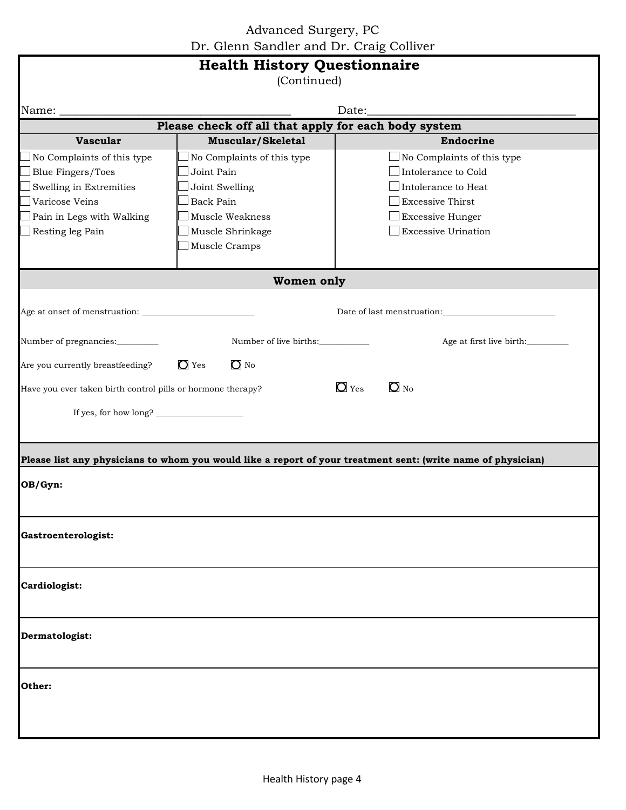Advanced Surgery, PC Dr. Glenn Sandler and Dr. Craig Colliver

| <b>Health History Questionnaire</b><br>(Continued)          |                                         |                                                                                                              |  |  |  |  |
|-------------------------------------------------------------|-----------------------------------------|--------------------------------------------------------------------------------------------------------------|--|--|--|--|
| Name: $\_$                                                  |                                         |                                                                                                              |  |  |  |  |
| Please check off all that apply for each body system        |                                         |                                                                                                              |  |  |  |  |
| <b>Vascular</b>                                             | Muscular/Skeletal                       | Endocrine                                                                                                    |  |  |  |  |
| No Complaints of this type                                  | No Complaints of this type              | No Complaints of this type                                                                                   |  |  |  |  |
| <b>Blue Fingers/Toes</b>                                    | Joint Pain                              | Intolerance to Cold                                                                                          |  |  |  |  |
| Swelling in Extremities                                     | Joint Swelling                          | Intolerance to Heat                                                                                          |  |  |  |  |
| Varicose Veins                                              | <b>Back Pain</b>                        | <b>Excessive Thirst</b>                                                                                      |  |  |  |  |
| Pain in Legs with Walking                                   | Muscle Weakness                         | $\perp$ Excessive Hunger                                                                                     |  |  |  |  |
| Resting leg Pain                                            | Muscle Shrinkage                        | <b>Excessive Urination</b>                                                                                   |  |  |  |  |
|                                                             | Muscle Cramps                           |                                                                                                              |  |  |  |  |
|                                                             | Women only                              |                                                                                                              |  |  |  |  |
|                                                             |                                         |                                                                                                              |  |  |  |  |
|                                                             |                                         |                                                                                                              |  |  |  |  |
| Number of pregnancies:________                              | Number of live births:                  | Age at first live birth:                                                                                     |  |  |  |  |
| Are you currently breastfeeding?                            | $\overline{O}$ Yes<br>$\overline{O}$ No |                                                                                                              |  |  |  |  |
| Have you ever taken birth control pills or hormone therapy? |                                         | $O_{\text{No}}$<br>$\overline{O}$ Yes                                                                        |  |  |  |  |
|                                                             |                                         |                                                                                                              |  |  |  |  |
| If yes, for how long?                                       |                                         |                                                                                                              |  |  |  |  |
|                                                             |                                         |                                                                                                              |  |  |  |  |
|                                                             |                                         | Please list any physicians to whom you would like a report of your treatment sent: (write name of physician) |  |  |  |  |
| OB/Gyn:                                                     |                                         |                                                                                                              |  |  |  |  |
| Gastroenterologist:                                         |                                         |                                                                                                              |  |  |  |  |
| Cardiologist:                                               |                                         |                                                                                                              |  |  |  |  |
| Dermatologist:                                              |                                         |                                                                                                              |  |  |  |  |
| Other:                                                      |                                         |                                                                                                              |  |  |  |  |
|                                                             |                                         |                                                                                                              |  |  |  |  |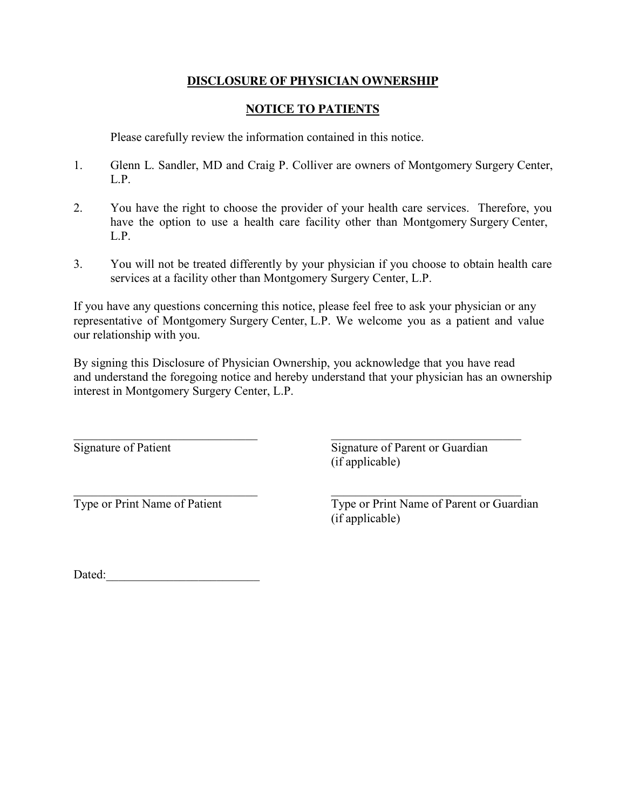## **DISCLOSURE OF PHYSICIAN OWNERSHIP**

## **NOTICE TO PATIENTS**

Please carefully review the information contained in this notice.

- 1. Glenn L. Sandler, MD and Craig P. Colliver are owners of Montgomery Surgery Center, L.P.
- 2. You have the right to choose the provider of your health care services. Therefore, you have the option to use a health care facility other than Montgomery Surgery Center, L.P.
- 3. You will not be treated differently by your physician if you choose to obtain health care services at a facility other than Montgomery Surgery Center, L.P.

If you have any questions concerning this notice, please feel free to ask your physician or any representative of Montgomery Surgery Center, L.P. We welcome you as a patient and value our relationship with you.

By signing this Disclosure of Physician Ownership, you acknowledge that you have read and understand the foregoing notice and hereby understand that your physician has an ownership interest in Montgomery Surgery Center, L.P.

 $\overline{\phantom{a}}$  , and the contribution of the contribution of  $\overline{\phantom{a}}$  , and the contribution of  $\overline{\phantom{a}}$ 

Signature of Patient Signature of Parent or Guardian (if applicable)

 $\overline{\phantom{a}}$  , and the contribution of the contribution of the contribution of the contribution of the contribution of the contribution of the contribution of the contribution of the contribution of the contribution of the

Type or Print Name of Patient Type or Print Name of Parent or Guardian (if applicable)

Dated:\_\_\_\_\_\_\_\_\_\_\_\_\_\_\_\_\_\_\_\_\_\_\_\_\_